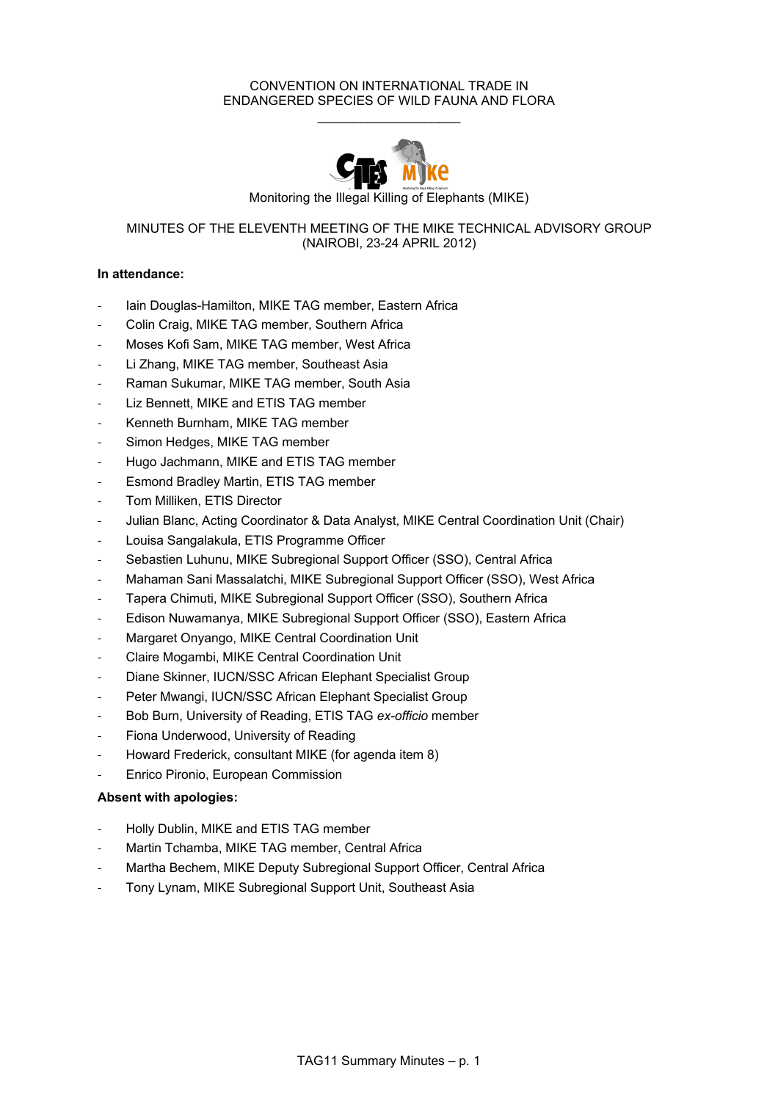## CONVENTION ON INTERNATIONAL TRADE IN ENDANGERED SPECIES OF WILD FAUNA AND FLORA  $\mathcal{L}_\text{max}$  , where  $\mathcal{L}_\text{max}$  , we have the set of  $\mathcal{L}_\text{max}$



# MINUTES OF THE ELEVENTH MEETING OF THE MIKE TECHNICAL ADVISORY GROUP (NAIROBI, 23-24 APRIL 2012)

# **In attendance:**

- lain Douglas-Hamilton, MIKE TAG member, Eastern Africa
- Colin Craig, MIKE TAG member, Southern Africa
- Moses Kofi Sam, MIKE TAG member, West Africa
- Li Zhang, MIKE TAG member, Southeast Asia
- Raman Sukumar, MIKE TAG member, South Asia
- Liz Bennett, MIKE and ETIS TAG member
- Kenneth Burnham, MIKE TAG member
- Simon Hedges, MIKE TAG member
- Hugo Jachmann, MIKE and ETIS TAG member
- Esmond Bradley Martin, ETIS TAG member
- Tom Milliken, ETIS Director
- Julian Blanc, Acting Coordinator & Data Analyst, MIKE Central Coordination Unit (Chair)
- Louisa Sangalakula, ETIS Programme Officer
- Sebastien Luhunu, MIKE Subregional Support Officer (SSO), Central Africa
- Mahaman Sani Massalatchi, MIKE Subregional Support Officer (SSO), West Africa
- Tapera Chimuti, MIKE Subregional Support Officer (SSO), Southern Africa
- Edison Nuwamanya, MIKE Subregional Support Officer (SSO), Eastern Africa
- Margaret Onyango, MIKE Central Coordination Unit
- Claire Mogambi, MIKE Central Coordination Unit
- Diane Skinner, IUCN/SSC African Elephant Specialist Group
- Peter Mwangi, IUCN/SSC African Elephant Specialist Group
- Bob Burn, University of Reading, ETIS TAG *ex-officio* member
- Fiona Underwood, University of Reading
- Howard Frederick, consultant MIKE (for agenda item 8)
- Enrico Pironio, European Commission

# **Absent with apologies:**

- Holly Dublin, MIKE and ETIS TAG member
- Martin Tchamba, MIKE TAG member, Central Africa
- Martha Bechem, MIKE Deputy Subregional Support Officer, Central Africa
- Tony Lynam, MIKE Subregional Support Unit, Southeast Asia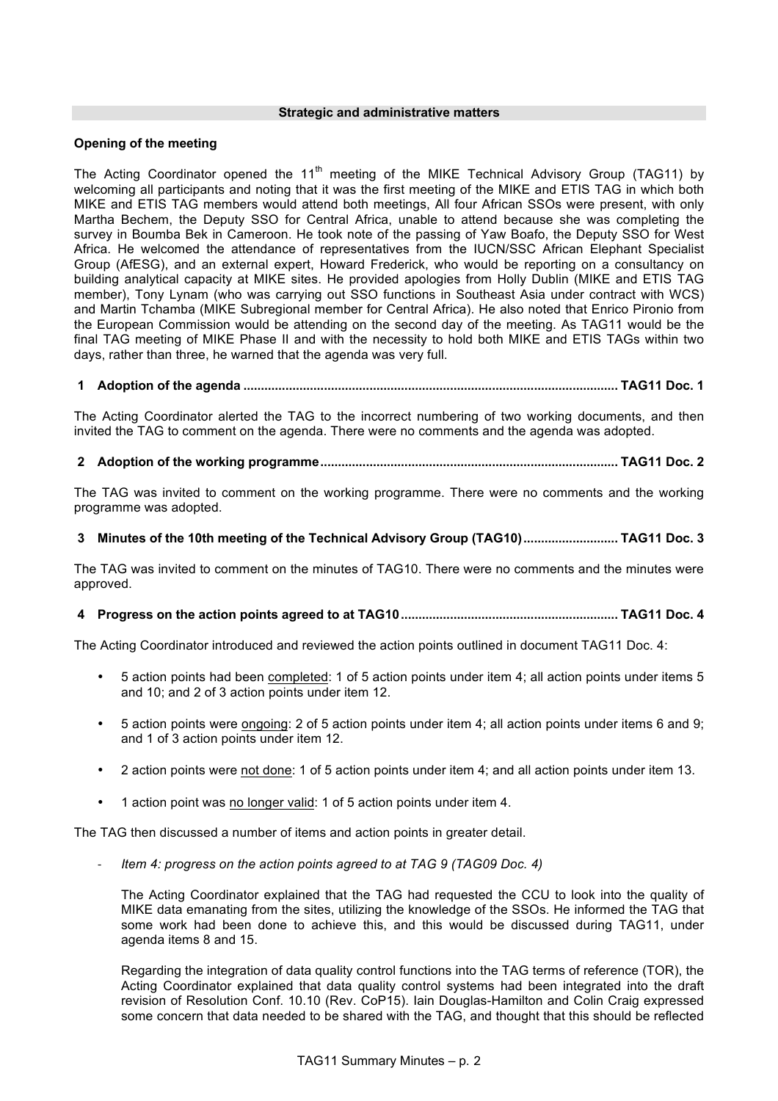#### **Strategic and administrative matters**

## **Opening of the meeting**

The Acting Coordinator opened the 11<sup>th</sup> meeting of the MIKE Technical Advisory Group (TAG11) by welcoming all participants and noting that it was the first meeting of the MIKE and ETIS TAG in which both MIKE and ETIS TAG members would attend both meetings, All four African SSOs were present, with only Martha Bechem, the Deputy SSO for Central Africa, unable to attend because she was completing the survey in Boumba Bek in Cameroon. He took note of the passing of Yaw Boafo, the Deputy SSO for West Africa. He welcomed the attendance of representatives from the IUCN/SSC African Elephant Specialist Group (AfESG), and an external expert, Howard Frederick, who would be reporting on a consultancy on building analytical capacity at MIKE sites. He provided apologies from Holly Dublin (MIKE and ETIS TAG member), Tony Lynam (who was carrying out SSO functions in Southeast Asia under contract with WCS) and Martin Tchamba (MIKE Subregional member for Central Africa). He also noted that Enrico Pironio from the European Commission would be attending on the second day of the meeting. As TAG11 would be the final TAG meeting of MIKE Phase II and with the necessity to hold both MIKE and ETIS TAGs within two days, rather than three, he warned that the agenda was very full.

# **1 Adoption of the agenda ........................................................................................................... TAG11 Doc. 1**

The Acting Coordinator alerted the TAG to the incorrect numbering of two working documents, and then invited the TAG to comment on the agenda. There were no comments and the agenda was adopted.

**2 Adoption of the working programme..................................................................................... TAG11 Doc. 2**

The TAG was invited to comment on the working programme. There were no comments and the working programme was adopted.

## **3 Minutes of the 10th meeting of the Technical Advisory Group (TAG10)........................... TAG11 Doc. 3**

The TAG was invited to comment on the minutes of TAG10. There were no comments and the minutes were approved.

# **4 Progress on the action points agreed to at TAG10.............................................................. TAG11 Doc. 4**

The Acting Coordinator introduced and reviewed the action points outlined in document TAG11 Doc. 4:

- 5 action points had been completed: 1 of 5 action points under item 4; all action points under items 5 and 10; and 2 of 3 action points under item 12.
- 5 action points were ongoing: 2 of 5 action points under item 4; all action points under items 6 and 9; and 1 of 3 action points under item 12.
- 2 action points were not done: 1 of 5 action points under item 4; and all action points under item 13.
- 1 action point was no longer valid: 1 of 5 action points under item 4.

The TAG then discussed a number of items and action points in greater detail.

- *Item 4: progress on the action points agreed to at TAG 9 (TAG09 Doc. 4)*

The Acting Coordinator explained that the TAG had requested the CCU to look into the quality of MIKE data emanating from the sites, utilizing the knowledge of the SSOs. He informed the TAG that some work had been done to achieve this, and this would be discussed during TAG11, under agenda items 8 and 15.

Regarding the integration of data quality control functions into the TAG terms of reference (TOR), the Acting Coordinator explained that data quality control systems had been integrated into the draft revision of Resolution Conf. 10.10 (Rev. CoP15). Iain Douglas-Hamilton and Colin Craig expressed some concern that data needed to be shared with the TAG, and thought that this should be reflected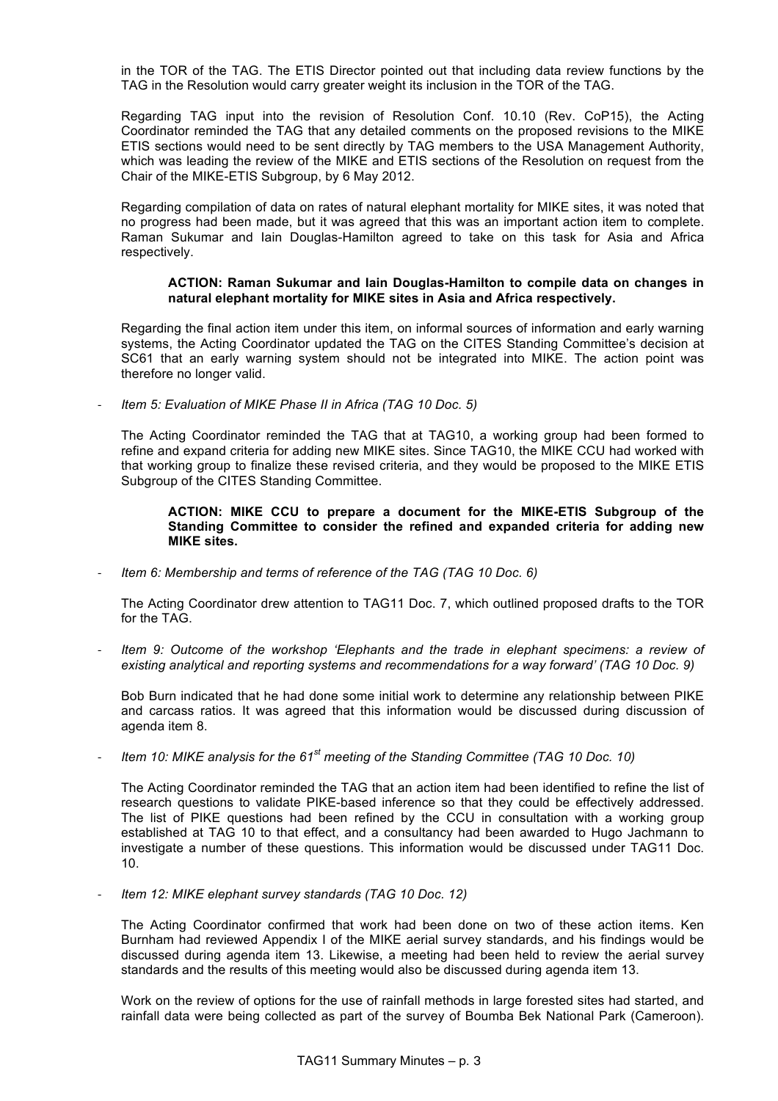in the TOR of the TAG. The ETIS Director pointed out that including data review functions by the TAG in the Resolution would carry greater weight its inclusion in the TOR of the TAG.

Regarding TAG input into the revision of Resolution Conf. 10.10 (Rev. CoP15), the Acting Coordinator reminded the TAG that any detailed comments on the proposed revisions to the MIKE ETIS sections would need to be sent directly by TAG members to the USA Management Authority, which was leading the review of the MIKE and ETIS sections of the Resolution on request from the Chair of the MIKE-ETIS Subgroup, by 6 May 2012.

Regarding compilation of data on rates of natural elephant mortality for MIKE sites, it was noted that no progress had been made, but it was agreed that this was an important action item to complete. Raman Sukumar and Iain Douglas-Hamilton agreed to take on this task for Asia and Africa respectively.

#### **ACTION: Raman Sukumar and Iain Douglas-Hamilton to compile data on changes in natural elephant mortality for MIKE sites in Asia and Africa respectively.**

Regarding the final action item under this item, on informal sources of information and early warning systems, the Acting Coordinator updated the TAG on the CITES Standing Committee's decision at SC61 that an early warning system should not be integrated into MIKE. The action point was therefore no longer valid.

- *Item 5: Evaluation of MIKE Phase II in Africa (TAG 10 Doc. 5)*

The Acting Coordinator reminded the TAG that at TAG10, a working group had been formed to refine and expand criteria for adding new MIKE sites. Since TAG10, the MIKE CCU had worked with that working group to finalize these revised criteria, and they would be proposed to the MIKE ETIS Subgroup of the CITES Standing Committee.

#### **ACTION: MIKE CCU to prepare a document for the MIKE-ETIS Subgroup of the Standing Committee to consider the refined and expanded criteria for adding new MIKE sites.**

- *Item 6: Membership and terms of reference of the TAG (TAG 10 Doc. 6)*

The Acting Coordinator drew attention to TAG11 Doc. 7, which outlined proposed drafts to the TOR for the TAG.

- *Item 9: Outcome of the workshop 'Elephants and the trade in elephant specimens: a review of existing analytical and reporting systems and recommendations for a way forward' (TAG 10 Doc. 9)*

Bob Burn indicated that he had done some initial work to determine any relationship between PIKE and carcass ratios. It was agreed that this information would be discussed during discussion of agenda item 8.

- *Item 10: MIKE analysis for the 61st meeting of the Standing Committee (TAG 10 Doc. 10)*

The Acting Coordinator reminded the TAG that an action item had been identified to refine the list of research questions to validate PIKE-based inference so that they could be effectively addressed. The list of PIKE questions had been refined by the CCU in consultation with a working group established at TAG 10 to that effect, and a consultancy had been awarded to Hugo Jachmann to investigate a number of these questions. This information would be discussed under TAG11 Doc. 10.

- *Item 12: MIKE elephant survey standards (TAG 10 Doc. 12)*

The Acting Coordinator confirmed that work had been done on two of these action items. Ken Burnham had reviewed Appendix I of the MIKE aerial survey standards, and his findings would be discussed during agenda item 13. Likewise, a meeting had been held to review the aerial survey standards and the results of this meeting would also be discussed during agenda item 13.

Work on the review of options for the use of rainfall methods in large forested sites had started, and rainfall data were being collected as part of the survey of Boumba Bek National Park (Cameroon).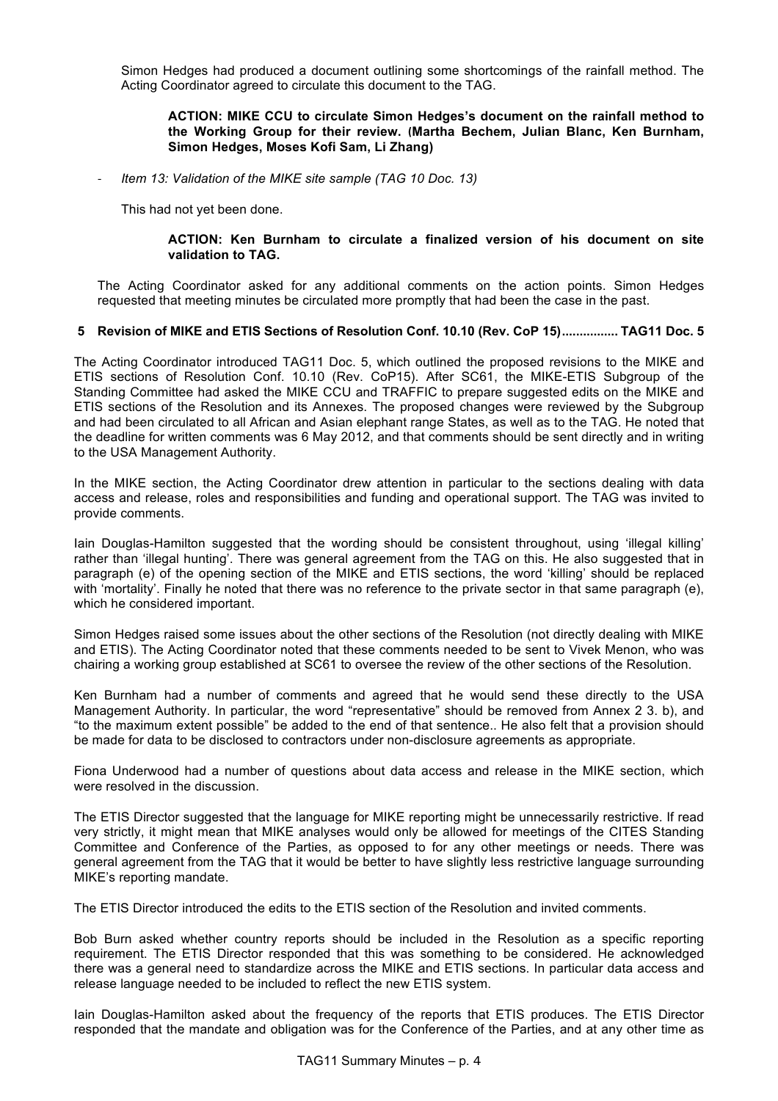Simon Hedges had produced a document outlining some shortcomings of the rainfall method. The Acting Coordinator agreed to circulate this document to the TAG.

## **ACTION: MIKE CCU to circulate Simon Hedges's document on the rainfall method to the Working Group for their review. (Martha Bechem, Julian Blanc, Ken Burnham, Simon Hedges, Moses Kofi Sam, Li Zhang)**

- *Item 13: Validation of the MIKE site sample (TAG 10 Doc. 13)*

This had not yet been done.

## **ACTION: Ken Burnham to circulate a finalized version of his document on site validation to TAG.**

The Acting Coordinator asked for any additional comments on the action points. Simon Hedges requested that meeting minutes be circulated more promptly that had been the case in the past.

#### **5 Revision of MIKE and ETIS Sections of Resolution Conf. 10.10 (Rev. CoP 15)................ TAG11 Doc. 5**

The Acting Coordinator introduced TAG11 Doc. 5, which outlined the proposed revisions to the MIKE and ETIS sections of Resolution Conf. 10.10 (Rev. CoP15). After SC61, the MIKE-ETIS Subgroup of the Standing Committee had asked the MIKE CCU and TRAFFIC to prepare suggested edits on the MIKE and ETIS sections of the Resolution and its Annexes. The proposed changes were reviewed by the Subgroup and had been circulated to all African and Asian elephant range States, as well as to the TAG. He noted that the deadline for written comments was 6 May 2012, and that comments should be sent directly and in writing to the USA Management Authority.

In the MIKE section, the Acting Coordinator drew attention in particular to the sections dealing with data access and release, roles and responsibilities and funding and operational support. The TAG was invited to provide comments.

Iain Douglas-Hamilton suggested that the wording should be consistent throughout, using 'illegal killing' rather than 'illegal hunting'. There was general agreement from the TAG on this. He also suggested that in paragraph (e) of the opening section of the MIKE and ETIS sections, the word 'killing' should be replaced with 'mortality'. Finally he noted that there was no reference to the private sector in that same paragraph (e), which he considered important.

Simon Hedges raised some issues about the other sections of the Resolution (not directly dealing with MIKE and ETIS). The Acting Coordinator noted that these comments needed to be sent to Vivek Menon, who was chairing a working group established at SC61 to oversee the review of the other sections of the Resolution.

Ken Burnham had a number of comments and agreed that he would send these directly to the USA Management Authority. In particular, the word "representative" should be removed from Annex 2 3. b), and "to the maximum extent possible" be added to the end of that sentence.. He also felt that a provision should be made for data to be disclosed to contractors under non-disclosure agreements as appropriate.

Fiona Underwood had a number of questions about data access and release in the MIKE section, which were resolved in the discussion.

The ETIS Director suggested that the language for MIKE reporting might be unnecessarily restrictive. If read very strictly, it might mean that MIKE analyses would only be allowed for meetings of the CITES Standing Committee and Conference of the Parties, as opposed to for any other meetings or needs. There was general agreement from the TAG that it would be better to have slightly less restrictive language surrounding MIKE's reporting mandate.

The ETIS Director introduced the edits to the ETIS section of the Resolution and invited comments.

Bob Burn asked whether country reports should be included in the Resolution as a specific reporting requirement. The ETIS Director responded that this was something to be considered. He acknowledged there was a general need to standardize across the MIKE and ETIS sections. In particular data access and release language needed to be included to reflect the new ETIS system.

Iain Douglas-Hamilton asked about the frequency of the reports that ETIS produces. The ETIS Director responded that the mandate and obligation was for the Conference of the Parties, and at any other time as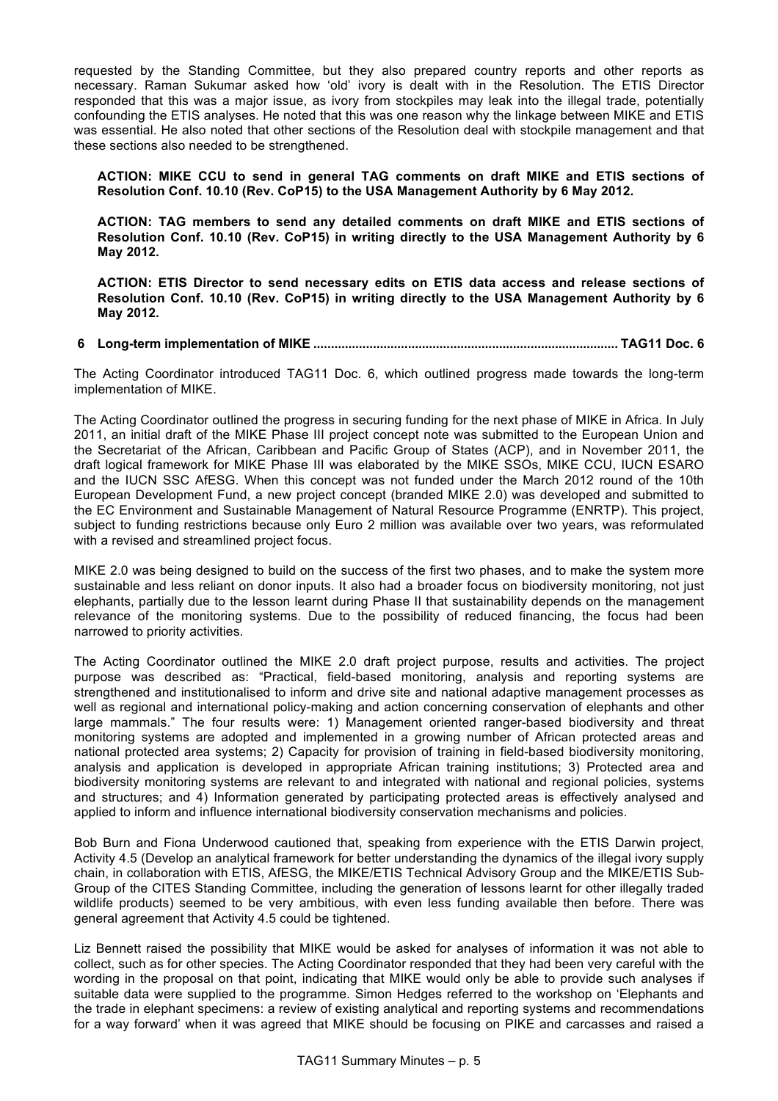requested by the Standing Committee, but they also prepared country reports and other reports as necessary. Raman Sukumar asked how 'old' ivory is dealt with in the Resolution. The ETIS Director responded that this was a major issue, as ivory from stockpiles may leak into the illegal trade, potentially confounding the ETIS analyses. He noted that this was one reason why the linkage between MIKE and ETIS was essential. He also noted that other sections of the Resolution deal with stockpile management and that these sections also needed to be strengthened.

**ACTION: MIKE CCU to send in general TAG comments on draft MIKE and ETIS sections of Resolution Conf. 10.10 (Rev. CoP15) to the USA Management Authority by 6 May 2012.** 

**ACTION: TAG members to send any detailed comments on draft MIKE and ETIS sections of Resolution Conf. 10.10 (Rev. CoP15) in writing directly to the USA Management Authority by 6 May 2012.** 

**ACTION: ETIS Director to send necessary edits on ETIS data access and release sections of Resolution Conf. 10.10 (Rev. CoP15) in writing directly to the USA Management Authority by 6 May 2012.** 

## **6 Long-term implementation of MIKE ....................................................................................... TAG11 Doc. 6**

The Acting Coordinator introduced TAG11 Doc. 6, which outlined progress made towards the long-term implementation of MIKE.

The Acting Coordinator outlined the progress in securing funding for the next phase of MIKE in Africa. In July 2011, an initial draft of the MIKE Phase III project concept note was submitted to the European Union and the Secretariat of the African, Caribbean and Pacific Group of States (ACP), and in November 2011, the draft logical framework for MIKE Phase III was elaborated by the MIKE SSOs, MIKE CCU, IUCN ESARO and the IUCN SSC AfESG. When this concept was not funded under the March 2012 round of the 10th European Development Fund, a new project concept (branded MIKE 2.0) was developed and submitted to the EC Environment and Sustainable Management of Natural Resource Programme (ENRTP). This project, subject to funding restrictions because only Euro 2 million was available over two years, was reformulated with a revised and streamlined project focus.

MIKE 2.0 was being designed to build on the success of the first two phases, and to make the system more sustainable and less reliant on donor inputs. It also had a broader focus on biodiversity monitoring, not just elephants, partially due to the lesson learnt during Phase II that sustainability depends on the management relevance of the monitoring systems. Due to the possibility of reduced financing, the focus had been narrowed to priority activities.

The Acting Coordinator outlined the MIKE 2.0 draft project purpose, results and activities. The project purpose was described as: "Practical, field-based monitoring, analysis and reporting systems are strengthened and institutionalised to inform and drive site and national adaptive management processes as well as regional and international policy-making and action concerning conservation of elephants and other large mammals." The four results were: 1) Management oriented ranger-based biodiversity and threat monitoring systems are adopted and implemented in a growing number of African protected areas and national protected area systems; 2) Capacity for provision of training in field-based biodiversity monitoring, analysis and application is developed in appropriate African training institutions; 3) Protected area and biodiversity monitoring systems are relevant to and integrated with national and regional policies, systems and structures; and 4) Information generated by participating protected areas is effectively analysed and applied to inform and influence international biodiversity conservation mechanisms and policies.

Bob Burn and Fiona Underwood cautioned that, speaking from experience with the ETIS Darwin project, Activity 4.5 (Develop an analytical framework for better understanding the dynamics of the illegal ivory supply chain, in collaboration with ETIS, AfESG, the MIKE/ETIS Technical Advisory Group and the MIKE/ETIS Sub-Group of the CITES Standing Committee, including the generation of lessons learnt for other illegally traded wildlife products) seemed to be very ambitious, with even less funding available then before. There was general agreement that Activity 4.5 could be tightened.

Liz Bennett raised the possibility that MIKE would be asked for analyses of information it was not able to collect, such as for other species. The Acting Coordinator responded that they had been very careful with the wording in the proposal on that point, indicating that MIKE would only be able to provide such analyses if suitable data were supplied to the programme. Simon Hedges referred to the workshop on 'Elephants and the trade in elephant specimens: a review of existing analytical and reporting systems and recommendations for a way forward' when it was agreed that MIKE should be focusing on PIKE and carcasses and raised a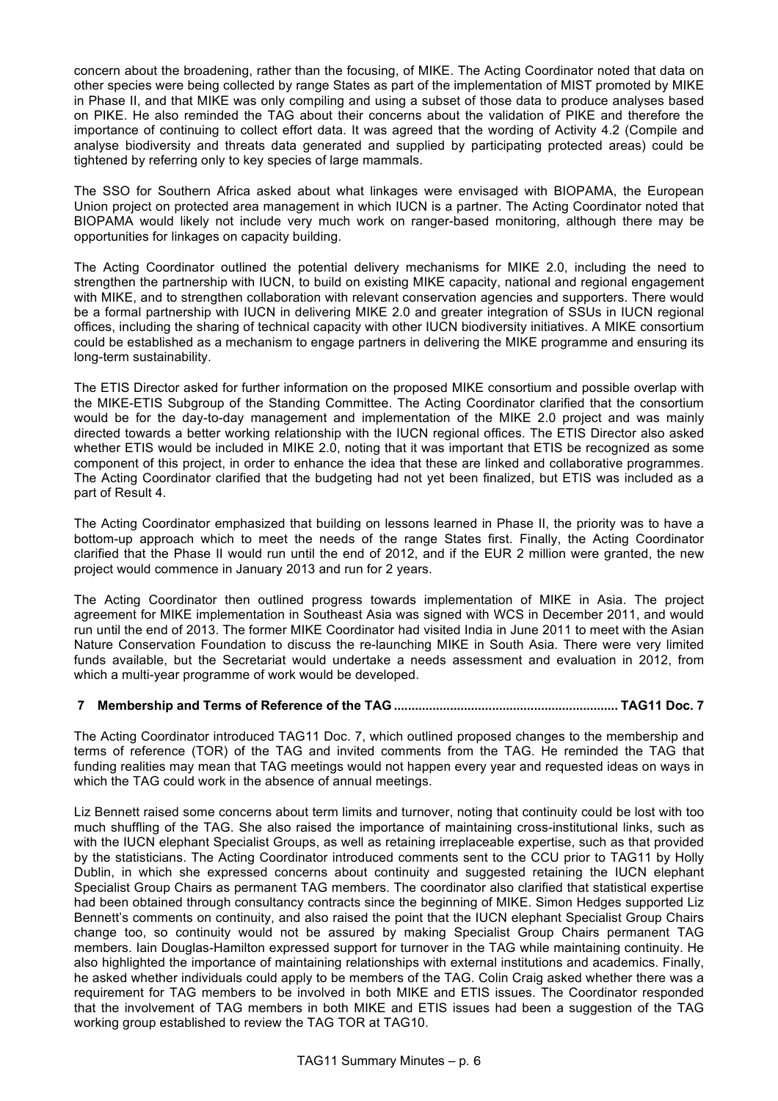concern about the broadening, rather than the focusing, of MIKE. The Acting Coordinator noted that data on other species were being collected by range States as part of the implementation of MIST promoted by MIKE in Phase II, and that MIKE was only compiling and using a subset of those data to produce analyses based on PIKE. He also reminded the TAG about their concerns about the validation of PIKE and therefore the importance of continuing to collect effort data. It was agreed that the wording of Activity 4.2 (Compile and analyse biodiversity and threats data generated and supplied by participating protected areas) could be tightened by referring only to key species of large mammals.

The SSO for Southern Africa asked about what linkages were envisaged with BIOPAMA, the European Union project on protected area management in which IUCN is a partner. The Acting Coordinator noted that BIOPAMA would likely not include very much work on ranger-based monitoring, although there may be opportunities for linkages on capacity building.

The Acting Coordinator outlined the potential delivery mechanisms for MIKE 2.0, including the need to strengthen the partnership with IUCN, to build on existing MIKE capacity, national and regional engagement with MIKE, and to strengthen collaboration with relevant conservation agencies and supporters. There would be a formal partnership with IUCN in delivering MIKE 2.0 and greater integration of SSUs in IUCN regional offices, including the sharing of technical capacity with other IUCN biodiversity initiatives. A MIKE consortium could be established as a mechanism to engage partners in delivering the MIKE programme and ensuring its long-term sustainability.

The ETIS Director asked for further information on the proposed MIKE consortium and possible overlap with the MIKE-ETIS Subgroup of the Standing Committee. The Acting Coordinator clarified that the consortium would be for the day-to-day management and implementation of the MIKE 2.0 project and was mainly directed towards a better working relationship with the IUCN regional offices. The ETIS Director also asked whether ETIS would be included in MIKE 2.0, noting that it was important that ETIS be recognized as some component of this project, in order to enhance the idea that these are linked and collaborative programmes. The Acting Coordinator clarified that the budgeting had not yet been finalized, but ETIS was included as a part of Result 4.

The Acting Coordinator emphasized that building on lessons learned in Phase II, the priority was to have a bottom-up approach which to meet the needs of the range States first. Finally, the Acting Coordinator clarified that the Phase II would run until the end of 2012, and if the EUR 2 million were granted, the new project would commence in January 2013 and run for 2 years.

The Acting Coordinator then outlined progress towards implementation of MIKE in Asia. The project agreement for MIKE implementation in Southeast Asia was signed with WCS in December 2011, and would run until the end of 2013. The former MIKE Coordinator had visited India in June 2011 to meet with the Asian Nature Conservation Foundation to discuss the re-launching MIKE in South Asia. There were very limited funds available, but the Secretariat would undertake a needs assessment and evaluation in 2012, from which a multi-year programme of work would be developed.

# **7 Membership and Terms of Reference of the TAG ................................................................ TAG11 Doc. 7**

The Acting Coordinator introduced TAG11 Doc. 7, which outlined proposed changes to the membership and terms of reference (TOR) of the TAG and invited comments from the TAG. He reminded the TAG that funding realities may mean that TAG meetings would not happen every year and requested ideas on ways in which the TAG could work in the absence of annual meetings.

Liz Bennett raised some concerns about term limits and turnover, noting that continuity could be lost with too much shuffling of the TAG. She also raised the importance of maintaining cross-institutional links, such as with the IUCN elephant Specialist Groups, as well as retaining irreplaceable expertise, such as that provided by the statisticians. The Acting Coordinator introduced comments sent to the CCU prior to TAG11 by Holly Dublin, in which she expressed concerns about continuity and suggested retaining the IUCN elephant Specialist Group Chairs as permanent TAG members. The coordinator also clarified that statistical expertise had been obtained through consultancy contracts since the beginning of MIKE. Simon Hedges supported Liz Bennett's comments on continuity, and also raised the point that the IUCN elephant Specialist Group Chairs change too, so continuity would not be assured by making Specialist Group Chairs permanent TAG members. Iain Douglas-Hamilton expressed support for turnover in the TAG while maintaining continuity. He also highlighted the importance of maintaining relationships with external institutions and academics. Finally, he asked whether individuals could apply to be members of the TAG. Colin Craig asked whether there was a requirement for TAG members to be involved in both MIKE and ETIS issues. The Coordinator responded that the involvement of TAG members in both MIKE and ETIS issues had been a suggestion of the TAG working group established to review the TAG TOR at TAG10.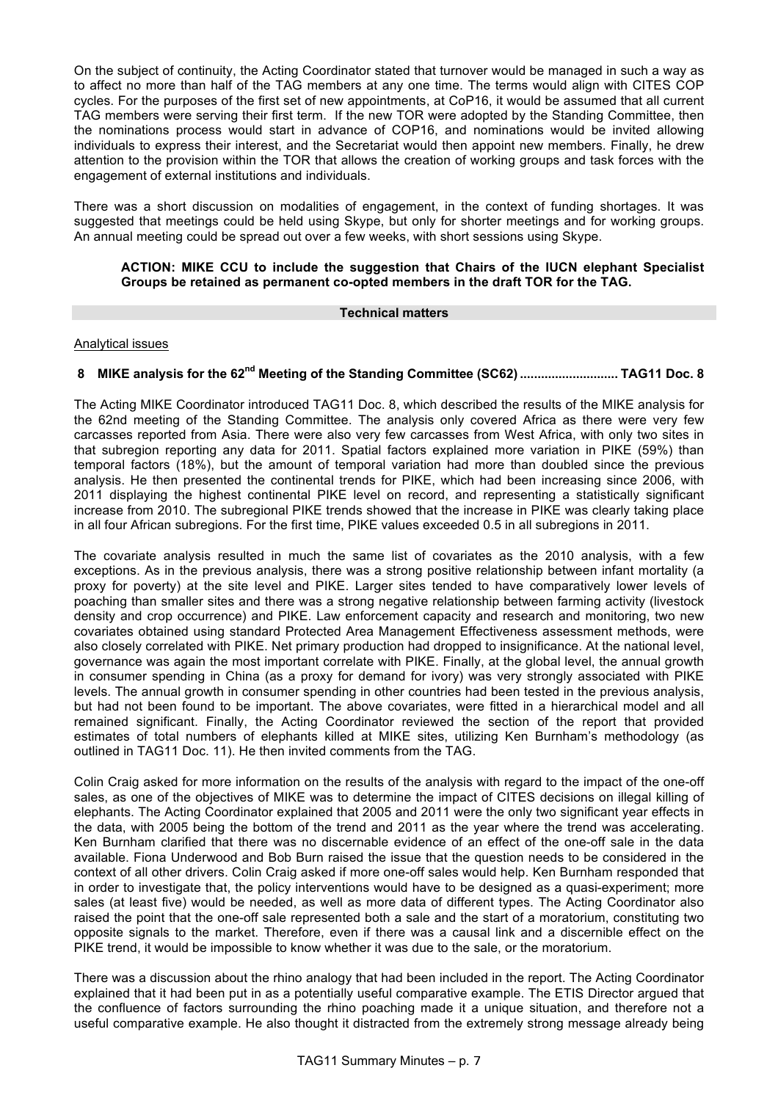On the subject of continuity, the Acting Coordinator stated that turnover would be managed in such a way as to affect no more than half of the TAG members at any one time. The terms would align with CITES COP cycles. For the purposes of the first set of new appointments, at CoP16, it would be assumed that all current TAG members were serving their first term. If the new TOR were adopted by the Standing Committee, then the nominations process would start in advance of COP16, and nominations would be invited allowing individuals to express their interest, and the Secretariat would then appoint new members. Finally, he drew attention to the provision within the TOR that allows the creation of working groups and task forces with the engagement of external institutions and individuals.

There was a short discussion on modalities of engagement, in the context of funding shortages. It was suggested that meetings could be held using Skype, but only for shorter meetings and for working groups. An annual meeting could be spread out over a few weeks, with short sessions using Skype.

## **ACTION: MIKE CCU to include the suggestion that Chairs of the IUCN elephant Specialist Groups be retained as permanent co-opted members in the draft TOR for the TAG.**

## **Technical matters**

## Analytical issues

# **8 MIKE analysis for the 62nd Meeting of the Standing Committee (SC62) ............................ TAG11 Doc. 8**

The Acting MIKE Coordinator introduced TAG11 Doc. 8, which described the results of the MIKE analysis for the 62nd meeting of the Standing Committee. The analysis only covered Africa as there were very few carcasses reported from Asia. There were also very few carcasses from West Africa, with only two sites in that subregion reporting any data for 2011. Spatial factors explained more variation in PIKE (59%) than temporal factors (18%), but the amount of temporal variation had more than doubled since the previous analysis. He then presented the continental trends for PIKE, which had been increasing since 2006, with 2011 displaying the highest continental PIKE level on record, and representing a statistically significant increase from 2010. The subregional PIKE trends showed that the increase in PIKE was clearly taking place in all four African subregions. For the first time, PIKE values exceeded 0.5 in all subregions in 2011.

The covariate analysis resulted in much the same list of covariates as the 2010 analysis, with a few exceptions. As in the previous analysis, there was a strong positive relationship between infant mortality (a proxy for poverty) at the site level and PIKE. Larger sites tended to have comparatively lower levels of poaching than smaller sites and there was a strong negative relationship between farming activity (livestock density and crop occurrence) and PIKE. Law enforcement capacity and research and monitoring, two new covariates obtained using standard Protected Area Management Effectiveness assessment methods, were also closely correlated with PIKE. Net primary production had dropped to insignificance. At the national level, governance was again the most important correlate with PIKE. Finally, at the global level, the annual growth in consumer spending in China (as a proxy for demand for ivory) was very strongly associated with PIKE levels. The annual growth in consumer spending in other countries had been tested in the previous analysis, but had not been found to be important. The above covariates, were fitted in a hierarchical model and all remained significant. Finally, the Acting Coordinator reviewed the section of the report that provided estimates of total numbers of elephants killed at MIKE sites, utilizing Ken Burnham's methodology (as outlined in TAG11 Doc. 11). He then invited comments from the TAG.

Colin Craig asked for more information on the results of the analysis with regard to the impact of the one-off sales, as one of the objectives of MIKE was to determine the impact of CITES decisions on illegal killing of elephants. The Acting Coordinator explained that 2005 and 2011 were the only two significant year effects in the data, with 2005 being the bottom of the trend and 2011 as the year where the trend was accelerating. Ken Burnham clarified that there was no discernable evidence of an effect of the one-off sale in the data available. Fiona Underwood and Bob Burn raised the issue that the question needs to be considered in the context of all other drivers. Colin Craig asked if more one-off sales would help. Ken Burnham responded that in order to investigate that, the policy interventions would have to be designed as a quasi-experiment; more sales (at least five) would be needed, as well as more data of different types. The Acting Coordinator also raised the point that the one-off sale represented both a sale and the start of a moratorium, constituting two opposite signals to the market. Therefore, even if there was a causal link and a discernible effect on the PIKE trend, it would be impossible to know whether it was due to the sale, or the moratorium.

There was a discussion about the rhino analogy that had been included in the report. The Acting Coordinator explained that it had been put in as a potentially useful comparative example. The ETIS Director argued that the confluence of factors surrounding the rhino poaching made it a unique situation, and therefore not a useful comparative example. He also thought it distracted from the extremely strong message already being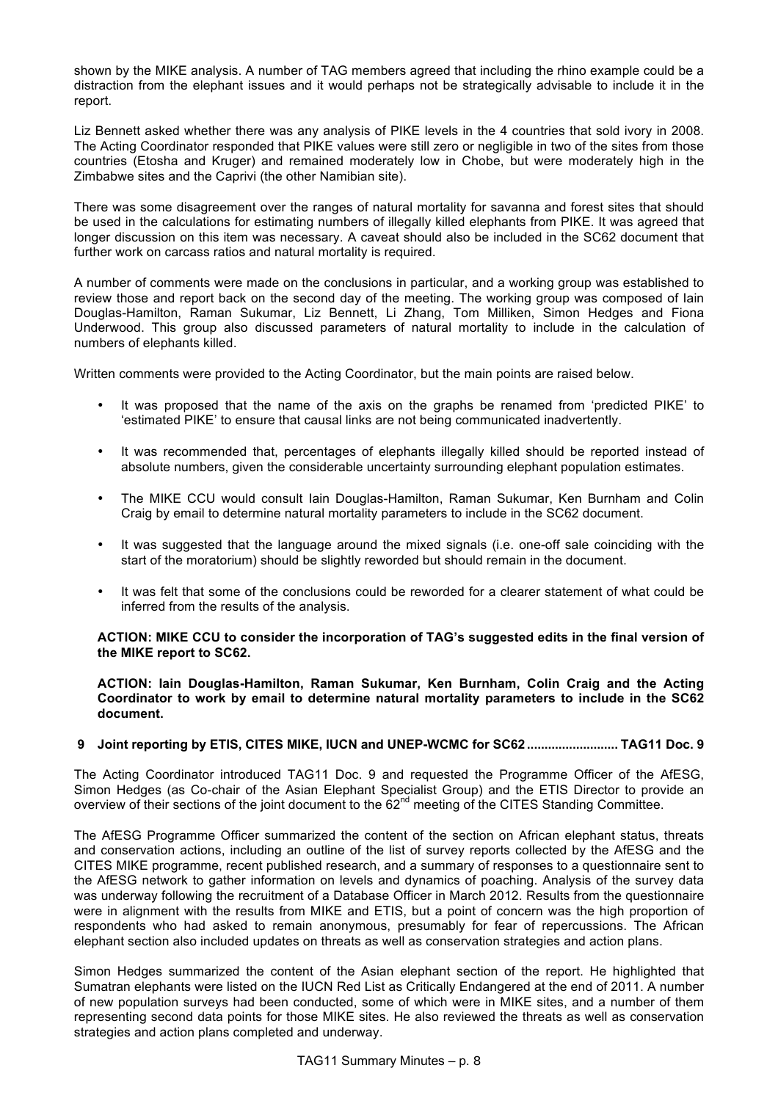shown by the MIKE analysis. A number of TAG members agreed that including the rhino example could be a distraction from the elephant issues and it would perhaps not be strategically advisable to include it in the report.

Liz Bennett asked whether there was any analysis of PIKE levels in the 4 countries that sold ivory in 2008. The Acting Coordinator responded that PIKE values were still zero or negligible in two of the sites from those countries (Etosha and Kruger) and remained moderately low in Chobe, but were moderately high in the Zimbabwe sites and the Caprivi (the other Namibian site).

There was some disagreement over the ranges of natural mortality for savanna and forest sites that should be used in the calculations for estimating numbers of illegally killed elephants from PIKE. It was agreed that longer discussion on this item was necessary. A caveat should also be included in the SC62 document that further work on carcass ratios and natural mortality is required.

A number of comments were made on the conclusions in particular, and a working group was established to review those and report back on the second day of the meeting. The working group was composed of Iain Douglas-Hamilton, Raman Sukumar, Liz Bennett, Li Zhang, Tom Milliken, Simon Hedges and Fiona Underwood. This group also discussed parameters of natural mortality to include in the calculation of numbers of elephants killed.

Written comments were provided to the Acting Coordinator, but the main points are raised below.

- It was proposed that the name of the axis on the graphs be renamed from 'predicted PIKE' to 'estimated PIKE' to ensure that causal links are not being communicated inadvertently.
- It was recommended that, percentages of elephants illegally killed should be reported instead of absolute numbers, given the considerable uncertainty surrounding elephant population estimates.
- The MIKE CCU would consult Iain Douglas-Hamilton, Raman Sukumar, Ken Burnham and Colin Craig by email to determine natural mortality parameters to include in the SC62 document.
- It was suggested that the language around the mixed signals (i.e. one-off sale coinciding with the start of the moratorium) should be slightly reworded but should remain in the document.
- It was felt that some of the conclusions could be reworded for a clearer statement of what could be inferred from the results of the analysis.

#### **ACTION: MIKE CCU to consider the incorporation of TAG's suggested edits in the final version of the MIKE report to SC62.**

**ACTION: Iain Douglas-Hamilton, Raman Sukumar, Ken Burnham, Colin Craig and the Acting Coordinator to work by email to determine natural mortality parameters to include in the SC62 document.**

#### **9 Joint reporting by ETIS, CITES MIKE, IUCN and UNEP-WCMC for SC62 .......................... TAG11 Doc. 9**

The Acting Coordinator introduced TAG11 Doc. 9 and requested the Programme Officer of the AfESG, Simon Hedges (as Co-chair of the Asian Elephant Specialist Group) and the ETIS Director to provide an overview of their sections of the joint document to the 62<sup>nd</sup> meeting of the CITES Standing Committee.

The AfESG Programme Officer summarized the content of the section on African elephant status, threats and conservation actions, including an outline of the list of survey reports collected by the AfESG and the CITES MIKE programme, recent published research, and a summary of responses to a questionnaire sent to the AfESG network to gather information on levels and dynamics of poaching. Analysis of the survey data was underway following the recruitment of a Database Officer in March 2012. Results from the questionnaire were in alignment with the results from MIKE and ETIS, but a point of concern was the high proportion of respondents who had asked to remain anonymous, presumably for fear of repercussions. The African elephant section also included updates on threats as well as conservation strategies and action plans.

Simon Hedges summarized the content of the Asian elephant section of the report. He highlighted that Sumatran elephants were listed on the IUCN Red List as Critically Endangered at the end of 2011. A number of new population surveys had been conducted, some of which were in MIKE sites, and a number of them representing second data points for those MIKE sites. He also reviewed the threats as well as conservation strategies and action plans completed and underway.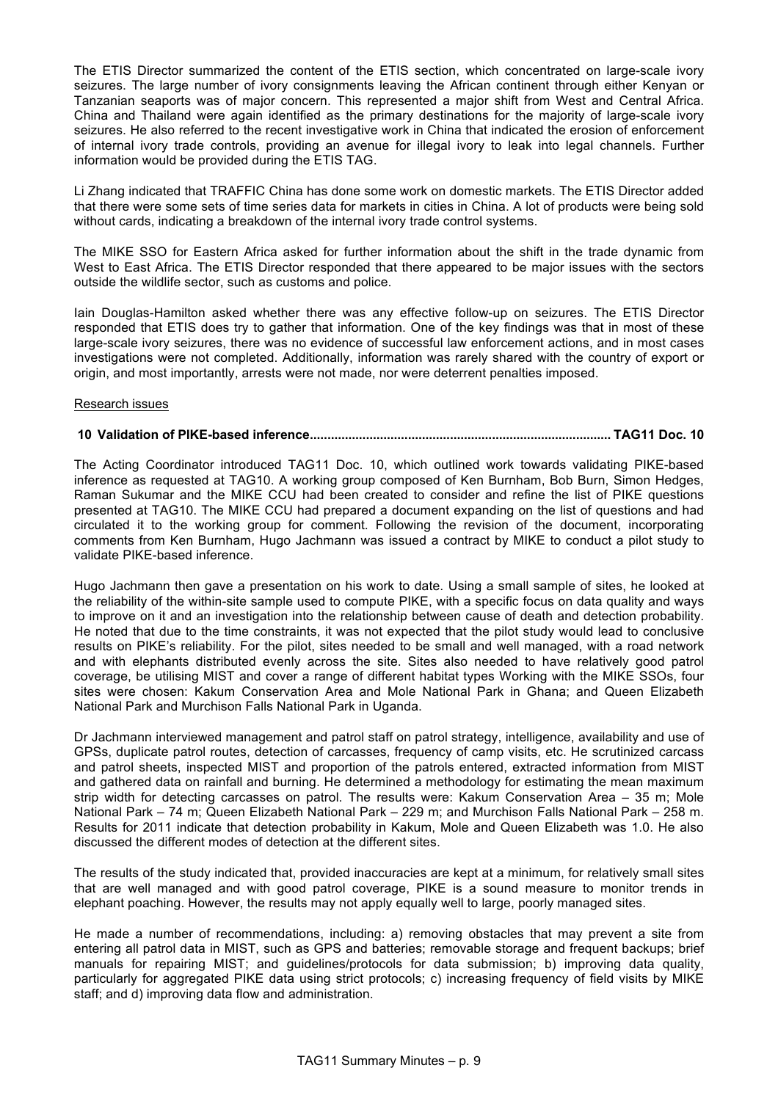The ETIS Director summarized the content of the ETIS section, which concentrated on large-scale ivory seizures. The large number of ivory consignments leaving the African continent through either Kenyan or Tanzanian seaports was of major concern. This represented a major shift from West and Central Africa. China and Thailand were again identified as the primary destinations for the majority of large-scale ivory seizures. He also referred to the recent investigative work in China that indicated the erosion of enforcement of internal ivory trade controls, providing an avenue for illegal ivory to leak into legal channels. Further information would be provided during the ETIS TAG.

Li Zhang indicated that TRAFFIC China has done some work on domestic markets. The ETIS Director added that there were some sets of time series data for markets in cities in China. A lot of products were being sold without cards, indicating a breakdown of the internal ivory trade control systems.

The MIKE SSO for Eastern Africa asked for further information about the shift in the trade dynamic from West to East Africa. The ETIS Director responded that there appeared to be major issues with the sectors outside the wildlife sector, such as customs and police.

Iain Douglas-Hamilton asked whether there was any effective follow-up on seizures. The ETIS Director responded that ETIS does try to gather that information. One of the key findings was that in most of these large-scale ivory seizures, there was no evidence of successful law enforcement actions, and in most cases investigations were not completed. Additionally, information was rarely shared with the country of export or origin, and most importantly, arrests were not made, nor were deterrent penalties imposed.

#### Research issues

#### **10 Validation of PIKE-based inference...................................................................................... TAG11 Doc. 10**

The Acting Coordinator introduced TAG11 Doc. 10, which outlined work towards validating PIKE-based inference as requested at TAG10. A working group composed of Ken Burnham, Bob Burn, Simon Hedges, Raman Sukumar and the MIKE CCU had been created to consider and refine the list of PIKE questions presented at TAG10. The MIKE CCU had prepared a document expanding on the list of questions and had circulated it to the working group for comment. Following the revision of the document, incorporating comments from Ken Burnham, Hugo Jachmann was issued a contract by MIKE to conduct a pilot study to validate PIKE-based inference.

Hugo Jachmann then gave a presentation on his work to date. Using a small sample of sites, he looked at the reliability of the within-site sample used to compute PIKE, with a specific focus on data quality and ways to improve on it and an investigation into the relationship between cause of death and detection probability. He noted that due to the time constraints, it was not expected that the pilot study would lead to conclusive results on PIKE's reliability. For the pilot, sites needed to be small and well managed, with a road network and with elephants distributed evenly across the site. Sites also needed to have relatively good patrol coverage, be utilising MIST and cover a range of different habitat types Working with the MIKE SSOs, four sites were chosen: Kakum Conservation Area and Mole National Park in Ghana; and Queen Elizabeth National Park and Murchison Falls National Park in Uganda.

Dr Jachmann interviewed management and patrol staff on patrol strategy, intelligence, availability and use of GPSs, duplicate patrol routes, detection of carcasses, frequency of camp visits, etc. He scrutinized carcass and patrol sheets, inspected MIST and proportion of the patrols entered, extracted information from MIST and gathered data on rainfall and burning. He determined a methodology for estimating the mean maximum strip width for detecting carcasses on patrol. The results were: Kakum Conservation Area – 35 m; Mole National Park – 74 m; Queen Elizabeth National Park – 229 m; and Murchison Falls National Park – 258 m. Results for 2011 indicate that detection probability in Kakum, Mole and Queen Elizabeth was 1.0. He also discussed the different modes of detection at the different sites.

The results of the study indicated that, provided inaccuracies are kept at a minimum, for relatively small sites that are well managed and with good patrol coverage, PIKE is a sound measure to monitor trends in elephant poaching. However, the results may not apply equally well to large, poorly managed sites.

He made a number of recommendations, including: a) removing obstacles that may prevent a site from entering all patrol data in MIST, such as GPS and batteries; removable storage and frequent backups; brief manuals for repairing MIST; and guidelines/protocols for data submission; b) improving data quality, particularly for aggregated PIKE data using strict protocols; c) increasing frequency of field visits by MIKE staff; and d) improving data flow and administration.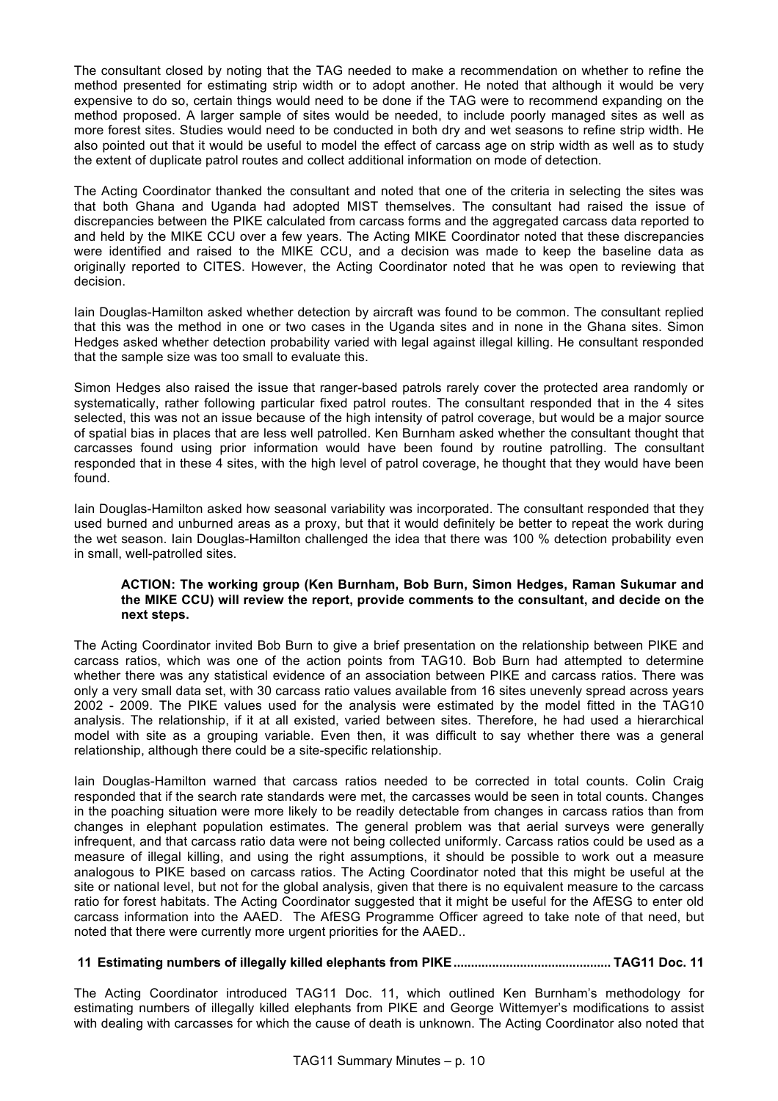The consultant closed by noting that the TAG needed to make a recommendation on whether to refine the method presented for estimating strip width or to adopt another. He noted that although it would be very expensive to do so, certain things would need to be done if the TAG were to recommend expanding on the method proposed. A larger sample of sites would be needed, to include poorly managed sites as well as more forest sites. Studies would need to be conducted in both dry and wet seasons to refine strip width. He also pointed out that it would be useful to model the effect of carcass age on strip width as well as to study the extent of duplicate patrol routes and collect additional information on mode of detection.

The Acting Coordinator thanked the consultant and noted that one of the criteria in selecting the sites was that both Ghana and Uganda had adopted MIST themselves. The consultant had raised the issue of discrepancies between the PIKE calculated from carcass forms and the aggregated carcass data reported to and held by the MIKE CCU over a few years. The Acting MIKE Coordinator noted that these discrepancies were identified and raised to the MIKE CCU, and a decision was made to keep the baseline data as originally reported to CITES. However, the Acting Coordinator noted that he was open to reviewing that decision.

Iain Douglas-Hamilton asked whether detection by aircraft was found to be common. The consultant replied that this was the method in one or two cases in the Uganda sites and in none in the Ghana sites. Simon Hedges asked whether detection probability varied with legal against illegal killing. He consultant responded that the sample size was too small to evaluate this.

Simon Hedges also raised the issue that ranger-based patrols rarely cover the protected area randomly or systematically, rather following particular fixed patrol routes. The consultant responded that in the 4 sites selected, this was not an issue because of the high intensity of patrol coverage, but would be a major source of spatial bias in places that are less well patrolled. Ken Burnham asked whether the consultant thought that carcasses found using prior information would have been found by routine patrolling. The consultant responded that in these 4 sites, with the high level of patrol coverage, he thought that they would have been found.

Iain Douglas-Hamilton asked how seasonal variability was incorporated. The consultant responded that they used burned and unburned areas as a proxy, but that it would definitely be better to repeat the work during the wet season. Iain Douglas-Hamilton challenged the idea that there was 100 % detection probability even in small, well-patrolled sites.

## **ACTION: The working group (Ken Burnham, Bob Burn, Simon Hedges, Raman Sukumar and the MIKE CCU) will review the report, provide comments to the consultant, and decide on the next steps.**

The Acting Coordinator invited Bob Burn to give a brief presentation on the relationship between PIKE and carcass ratios, which was one of the action points from TAG10. Bob Burn had attempted to determine whether there was any statistical evidence of an association between PIKE and carcass ratios. There was only a very small data set, with 30 carcass ratio values available from 16 sites unevenly spread across years 2002 - 2009. The PIKE values used for the analysis were estimated by the model fitted in the TAG10 analysis. The relationship, if it at all existed, varied between sites. Therefore, he had used a hierarchical model with site as a grouping variable. Even then, it was difficult to say whether there was a general relationship, although there could be a site-specific relationship.

Iain Douglas-Hamilton warned that carcass ratios needed to be corrected in total counts. Colin Craig responded that if the search rate standards were met, the carcasses would be seen in total counts. Changes in the poaching situation were more likely to be readily detectable from changes in carcass ratios than from changes in elephant population estimates. The general problem was that aerial surveys were generally infrequent, and that carcass ratio data were not being collected uniformly. Carcass ratios could be used as a measure of illegal killing, and using the right assumptions, it should be possible to work out a measure analogous to PIKE based on carcass ratios. The Acting Coordinator noted that this might be useful at the site or national level, but not for the global analysis, given that there is no equivalent measure to the carcass ratio for forest habitats. The Acting Coordinator suggested that it might be useful for the AfESG to enter old carcass information into the AAED. The AfESG Programme Officer agreed to take note of that need, but noted that there were currently more urgent priorities for the AAED..

# **11 Estimating numbers of illegally killed elephants from PIKE............................................. TAG11 Doc. 11**

The Acting Coordinator introduced TAG11 Doc. 11, which outlined Ken Burnham's methodology for estimating numbers of illegally killed elephants from PIKE and George Wittemyer's modifications to assist with dealing with carcasses for which the cause of death is unknown. The Acting Coordinator also noted that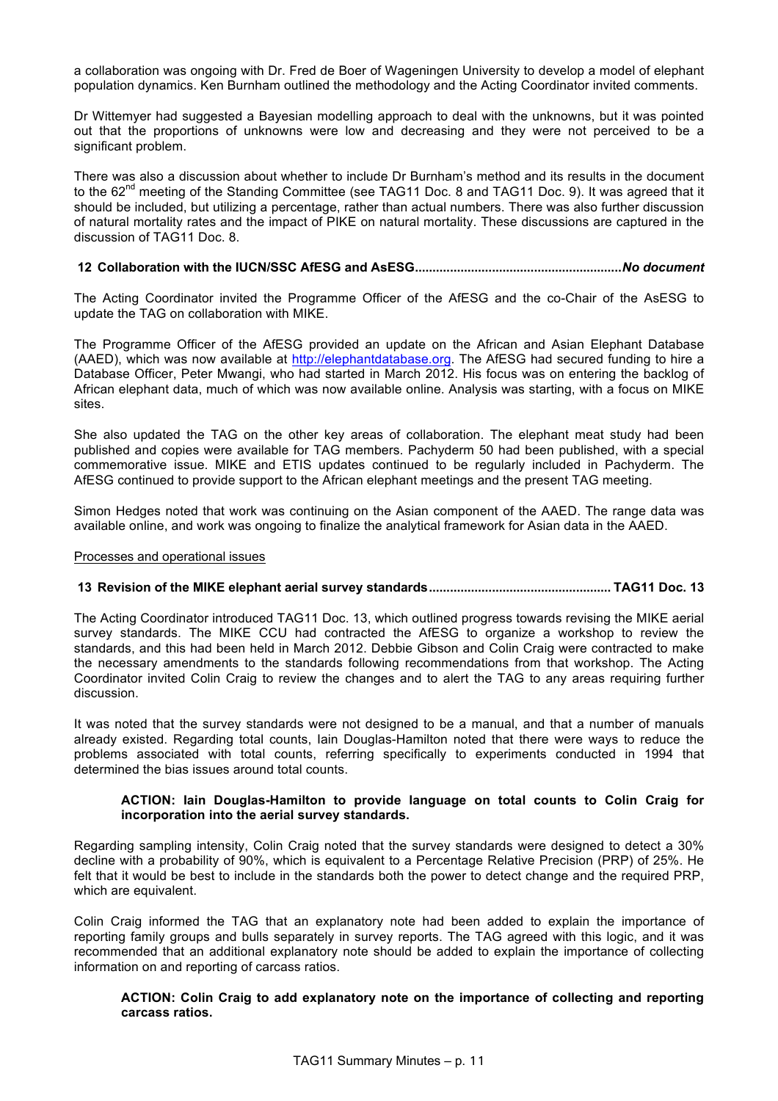a collaboration was ongoing with Dr. Fred de Boer of Wageningen University to develop a model of elephant population dynamics. Ken Burnham outlined the methodology and the Acting Coordinator invited comments.

Dr Wittemyer had suggested a Bayesian modelling approach to deal with the unknowns, but it was pointed out that the proportions of unknowns were low and decreasing and they were not perceived to be a significant problem.

There was also a discussion about whether to include Dr Burnham's method and its results in the document to the 62<sup>nd</sup> meeting of the Standing Committee (see TAG11 Doc. 8 and TAG11 Doc. 9). It was agreed that it should be included, but utilizing a percentage, rather than actual numbers. There was also further discussion of natural mortality rates and the impact of PIKE on natural mortality. These discussions are captured in the discussion of TAG11 Doc. 8.

## **12 Collaboration with the IUCN/SSC AfESG and AsESG...........................................................***No document*

The Acting Coordinator invited the Programme Officer of the AfESG and the co-Chair of the AsESG to update the TAG on collaboration with MIKE.

The Programme Officer of the AfESG provided an update on the African and Asian Elephant Database (AAED), which was now available at http://elephantdatabase.org. The AfESG had secured funding to hire a Database Officer, Peter Mwangi, who had started in March 2012. His focus was on entering the backlog of African elephant data, much of which was now available online. Analysis was starting, with a focus on MIKE sites.

She also updated the TAG on the other key areas of collaboration. The elephant meat study had been published and copies were available for TAG members. Pachyderm 50 had been published, with a special commemorative issue. MIKE and ETIS updates continued to be regularly included in Pachyderm. The AfESG continued to provide support to the African elephant meetings and the present TAG meeting.

Simon Hedges noted that work was continuing on the Asian component of the AAED. The range data was available online, and work was ongoing to finalize the analytical framework for Asian data in the AAED.

#### Processes and operational issues

## **13 Revision of the MIKE elephant aerial survey standards.................................................... TAG11 Doc. 13**

The Acting Coordinator introduced TAG11 Doc. 13, which outlined progress towards revising the MIKE aerial survey standards. The MIKE CCU had contracted the AfESG to organize a workshop to review the standards, and this had been held in March 2012. Debbie Gibson and Colin Craig were contracted to make the necessary amendments to the standards following recommendations from that workshop. The Acting Coordinator invited Colin Craig to review the changes and to alert the TAG to any areas requiring further discussion.

It was noted that the survey standards were not designed to be a manual, and that a number of manuals already existed. Regarding total counts, Iain Douglas-Hamilton noted that there were ways to reduce the problems associated with total counts, referring specifically to experiments conducted in 1994 that determined the bias issues around total counts.

#### **ACTION: Iain Douglas-Hamilton to provide language on total counts to Colin Craig for incorporation into the aerial survey standards.**

Regarding sampling intensity, Colin Craig noted that the survey standards were designed to detect a 30% decline with a probability of 90%, which is equivalent to a Percentage Relative Precision (PRP) of 25%. He felt that it would be best to include in the standards both the power to detect change and the required PRP, which are equivalent.

Colin Craig informed the TAG that an explanatory note had been added to explain the importance of reporting family groups and bulls separately in survey reports. The TAG agreed with this logic, and it was recommended that an additional explanatory note should be added to explain the importance of collecting information on and reporting of carcass ratios.

#### **ACTION: Colin Craig to add explanatory note on the importance of collecting and reporting carcass ratios.**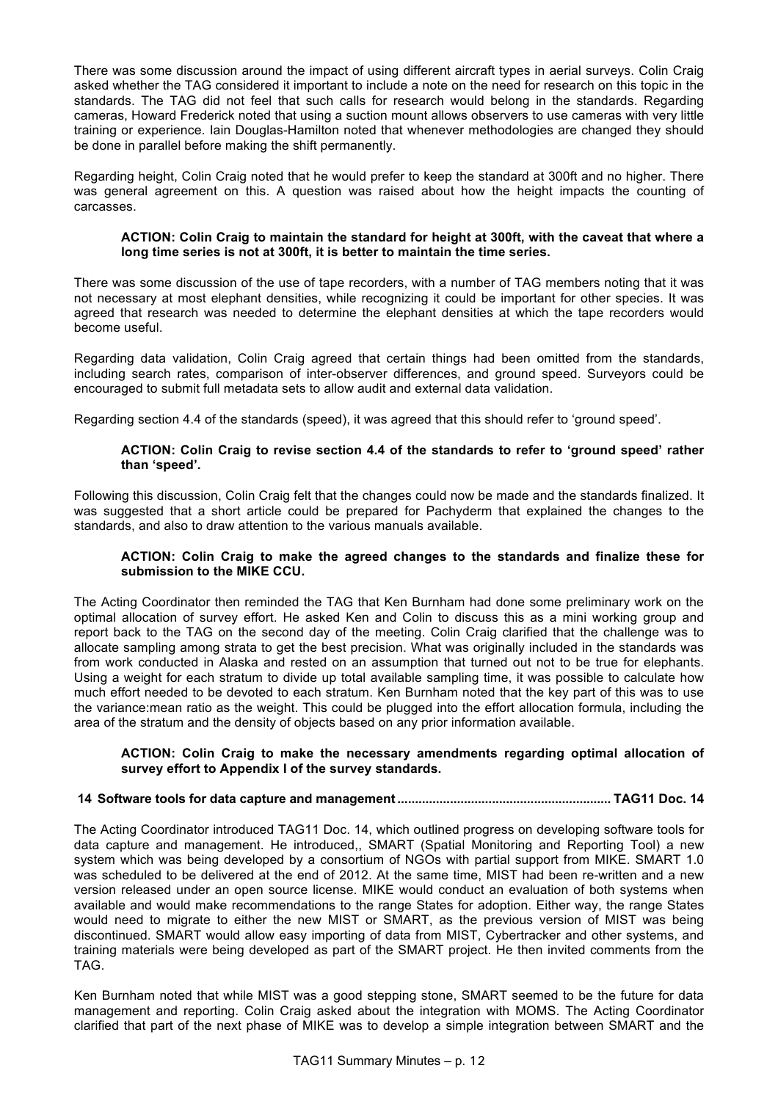There was some discussion around the impact of using different aircraft types in aerial surveys. Colin Craig asked whether the TAG considered it important to include a note on the need for research on this topic in the standards. The TAG did not feel that such calls for research would belong in the standards. Regarding cameras, Howard Frederick noted that using a suction mount allows observers to use cameras with very little training or experience. Iain Douglas-Hamilton noted that whenever methodologies are changed they should be done in parallel before making the shift permanently.

Regarding height, Colin Craig noted that he would prefer to keep the standard at 300ft and no higher. There was general agreement on this. A question was raised about how the height impacts the counting of carcasses.

## **ACTION: Colin Craig to maintain the standard for height at 300ft, with the caveat that where a long time series is not at 300ft, it is better to maintain the time series.**

There was some discussion of the use of tape recorders, with a number of TAG members noting that it was not necessary at most elephant densities, while recognizing it could be important for other species. It was agreed that research was needed to determine the elephant densities at which the tape recorders would become useful.

Regarding data validation, Colin Craig agreed that certain things had been omitted from the standards, including search rates, comparison of inter-observer differences, and ground speed. Surveyors could be encouraged to submit full metadata sets to allow audit and external data validation.

Regarding section 4.4 of the standards (speed), it was agreed that this should refer to 'ground speed'.

## **ACTION: Colin Craig to revise section 4.4 of the standards to refer to 'ground speed' rather than 'speed'.**

Following this discussion, Colin Craig felt that the changes could now be made and the standards finalized. It was suggested that a short article could be prepared for Pachyderm that explained the changes to the standards, and also to draw attention to the various manuals available.

## **ACTION: Colin Craig to make the agreed changes to the standards and finalize these for submission to the MIKE CCU.**

The Acting Coordinator then reminded the TAG that Ken Burnham had done some preliminary work on the optimal allocation of survey effort. He asked Ken and Colin to discuss this as a mini working group and report back to the TAG on the second day of the meeting. Colin Craig clarified that the challenge was to allocate sampling among strata to get the best precision. What was originally included in the standards was from work conducted in Alaska and rested on an assumption that turned out not to be true for elephants. Using a weight for each stratum to divide up total available sampling time, it was possible to calculate how much effort needed to be devoted to each stratum. Ken Burnham noted that the key part of this was to use the variance:mean ratio as the weight. This could be plugged into the effort allocation formula, including the area of the stratum and the density of objects based on any prior information available.

#### **ACTION: Colin Craig to make the necessary amendments regarding optimal allocation of survey effort to Appendix I of the survey standards.**

# **14 Software tools for data capture and management............................................................. TAG11 Doc. 14**

The Acting Coordinator introduced TAG11 Doc. 14, which outlined progress on developing software tools for data capture and management. He introduced,, SMART (Spatial Monitoring and Reporting Tool) a new system which was being developed by a consortium of NGOs with partial support from MIKE. SMART 1.0 was scheduled to be delivered at the end of 2012. At the same time, MIST had been re-written and a new version released under an open source license. MIKE would conduct an evaluation of both systems when available and would make recommendations to the range States for adoption. Either way, the range States would need to migrate to either the new MIST or SMART, as the previous version of MIST was being discontinued. SMART would allow easy importing of data from MIST, Cybertracker and other systems, and training materials were being developed as part of the SMART project. He then invited comments from the TAG.

Ken Burnham noted that while MIST was a good stepping stone, SMART seemed to be the future for data management and reporting. Colin Craig asked about the integration with MOMS. The Acting Coordinator clarified that part of the next phase of MIKE was to develop a simple integration between SMART and the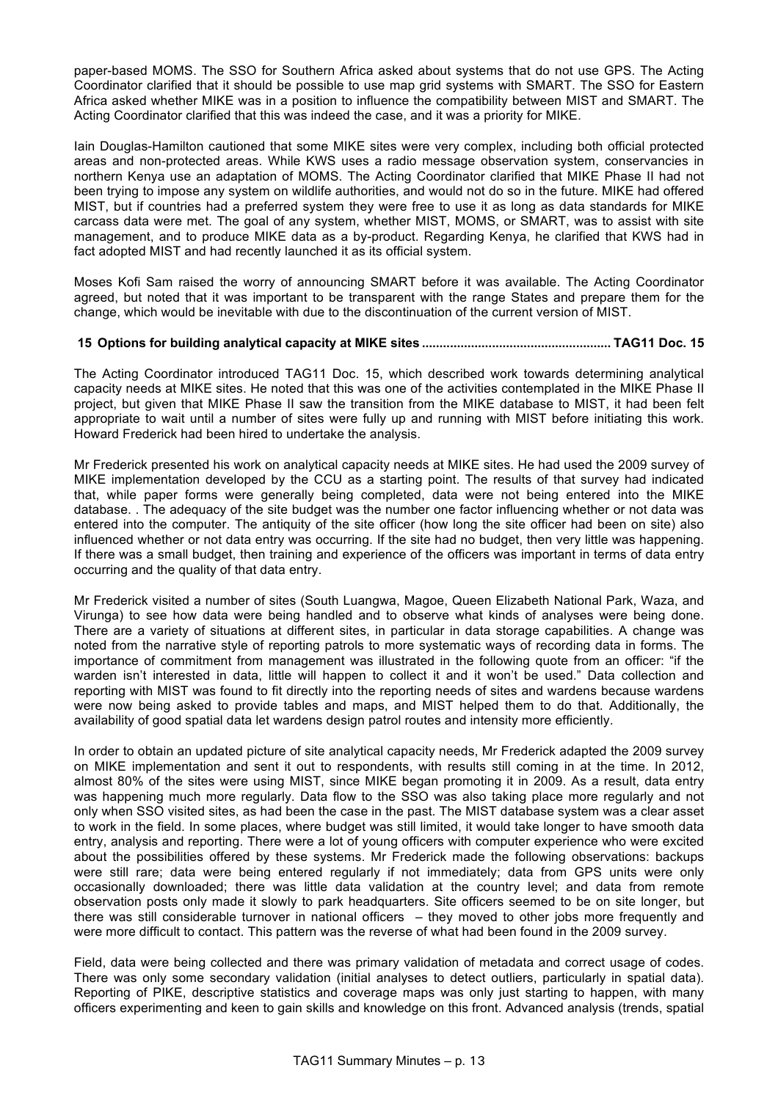paper-based MOMS. The SSO for Southern Africa asked about systems that do not use GPS. The Acting Coordinator clarified that it should be possible to use map grid systems with SMART. The SSO for Eastern Africa asked whether MIKE was in a position to influence the compatibility between MIST and SMART. The Acting Coordinator clarified that this was indeed the case, and it was a priority for MIKE.

Iain Douglas-Hamilton cautioned that some MIKE sites were very complex, including both official protected areas and non-protected areas. While KWS uses a radio message observation system, conservancies in northern Kenya use an adaptation of MOMS. The Acting Coordinator clarified that MIKE Phase II had not been trying to impose any system on wildlife authorities, and would not do so in the future. MIKE had offered MIST, but if countries had a preferred system they were free to use it as long as data standards for MIKE carcass data were met. The goal of any system, whether MIST, MOMS, or SMART, was to assist with site management, and to produce MIKE data as a by-product. Regarding Kenya, he clarified that KWS had in fact adopted MIST and had recently launched it as its official system.

Moses Kofi Sam raised the worry of announcing SMART before it was available. The Acting Coordinator agreed, but noted that it was important to be transparent with the range States and prepare them for the change, which would be inevitable with due to the discontinuation of the current version of MIST.

## **15 Options for building analytical capacity at MIKE sites ...................................................... TAG11 Doc. 15**

The Acting Coordinator introduced TAG11 Doc. 15, which described work towards determining analytical capacity needs at MIKE sites. He noted that this was one of the activities contemplated in the MIKE Phase II project, but given that MIKE Phase II saw the transition from the MIKE database to MIST, it had been felt appropriate to wait until a number of sites were fully up and running with MIST before initiating this work. Howard Frederick had been hired to undertake the analysis.

Mr Frederick presented his work on analytical capacity needs at MIKE sites. He had used the 2009 survey of MIKE implementation developed by the CCU as a starting point. The results of that survey had indicated that, while paper forms were generally being completed, data were not being entered into the MIKE database. . The adequacy of the site budget was the number one factor influencing whether or not data was entered into the computer. The antiquity of the site officer (how long the site officer had been on site) also influenced whether or not data entry was occurring. If the site had no budget, then very little was happening. If there was a small budget, then training and experience of the officers was important in terms of data entry occurring and the quality of that data entry.

Mr Frederick visited a number of sites (South Luangwa, Magoe, Queen Elizabeth National Park, Waza, and Virunga) to see how data were being handled and to observe what kinds of analyses were being done. There are a variety of situations at different sites, in particular in data storage capabilities. A change was noted from the narrative style of reporting patrols to more systematic ways of recording data in forms. The importance of commitment from management was illustrated in the following quote from an officer: "if the warden isn't interested in data, little will happen to collect it and it won't be used." Data collection and reporting with MIST was found to fit directly into the reporting needs of sites and wardens because wardens were now being asked to provide tables and maps, and MIST helped them to do that. Additionally, the availability of good spatial data let wardens design patrol routes and intensity more efficiently.

In order to obtain an updated picture of site analytical capacity needs, Mr Frederick adapted the 2009 survey on MIKE implementation and sent it out to respondents, with results still coming in at the time. In 2012, almost 80% of the sites were using MIST, since MIKE began promoting it in 2009. As a result, data entry was happening much more regularly. Data flow to the SSO was also taking place more regularly and not only when SSO visited sites, as had been the case in the past. The MIST database system was a clear asset to work in the field. In some places, where budget was still limited, it would take longer to have smooth data entry, analysis and reporting. There were a lot of young officers with computer experience who were excited about the possibilities offered by these systems. Mr Frederick made the following observations: backups were still rare; data were being entered regularly if not immediately; data from GPS units were only occasionally downloaded; there was little data validation at the country level; and data from remote observation posts only made it slowly to park headquarters. Site officers seemed to be on site longer, but there was still considerable turnover in national officers – they moved to other jobs more frequently and were more difficult to contact. This pattern was the reverse of what had been found in the 2009 survey.

Field, data were being collected and there was primary validation of metadata and correct usage of codes. There was only some secondary validation (initial analyses to detect outliers, particularly in spatial data). Reporting of PIKE, descriptive statistics and coverage maps was only just starting to happen, with many officers experimenting and keen to gain skills and knowledge on this front. Advanced analysis (trends, spatial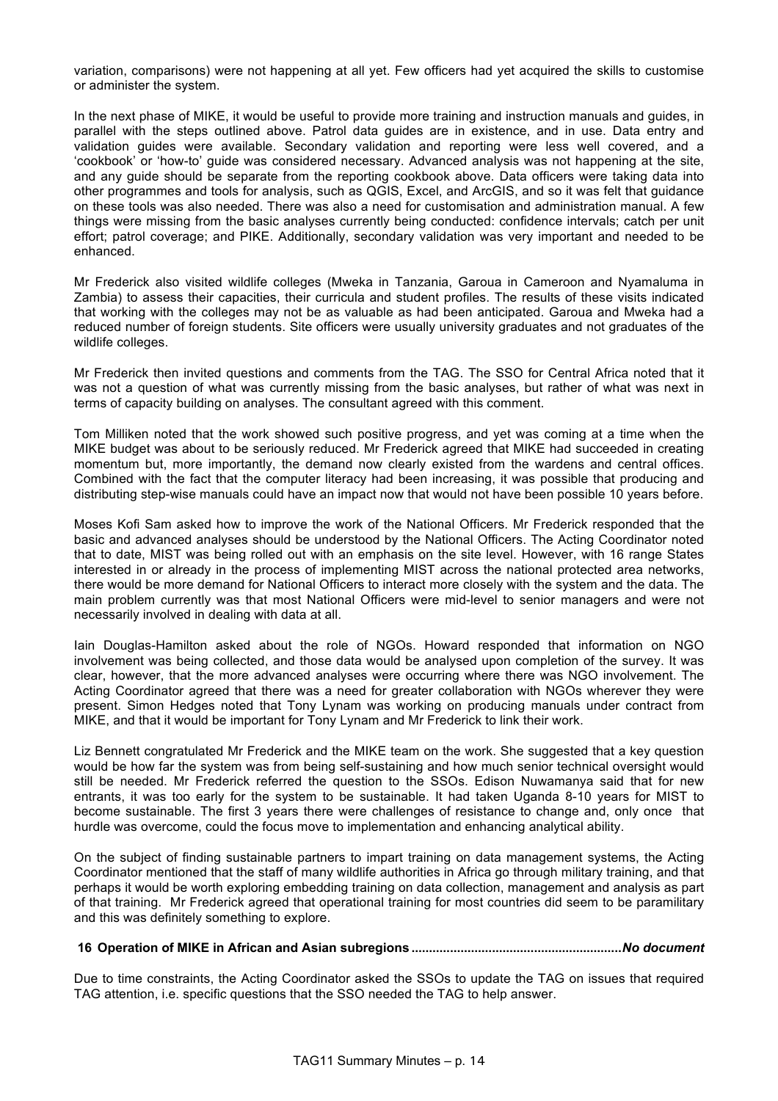variation, comparisons) were not happening at all yet. Few officers had yet acquired the skills to customise or administer the system.

In the next phase of MIKE, it would be useful to provide more training and instruction manuals and guides, in parallel with the steps outlined above. Patrol data guides are in existence, and in use. Data entry and validation guides were available. Secondary validation and reporting were less well covered, and a 'cookbook' or 'how-to' guide was considered necessary. Advanced analysis was not happening at the site, and any guide should be separate from the reporting cookbook above. Data officers were taking data into other programmes and tools for analysis, such as QGIS, Excel, and ArcGIS, and so it was felt that guidance on these tools was also needed. There was also a need for customisation and administration manual. A few things were missing from the basic analyses currently being conducted: confidence intervals; catch per unit effort; patrol coverage; and PIKE. Additionally, secondary validation was very important and needed to be enhanced.

Mr Frederick also visited wildlife colleges (Mweka in Tanzania, Garoua in Cameroon and Nyamaluma in Zambia) to assess their capacities, their curricula and student profiles. The results of these visits indicated that working with the colleges may not be as valuable as had been anticipated. Garoua and Mweka had a reduced number of foreign students. Site officers were usually university graduates and not graduates of the wildlife colleges.

Mr Frederick then invited questions and comments from the TAG. The SSO for Central Africa noted that it was not a question of what was currently missing from the basic analyses, but rather of what was next in terms of capacity building on analyses. The consultant agreed with this comment.

Tom Milliken noted that the work showed such positive progress, and yet was coming at a time when the MIKE budget was about to be seriously reduced. Mr Frederick agreed that MIKE had succeeded in creating momentum but, more importantly, the demand now clearly existed from the wardens and central offices. Combined with the fact that the computer literacy had been increasing, it was possible that producing and distributing step-wise manuals could have an impact now that would not have been possible 10 years before.

Moses Kofi Sam asked how to improve the work of the National Officers. Mr Frederick responded that the basic and advanced analyses should be understood by the National Officers. The Acting Coordinator noted that to date, MIST was being rolled out with an emphasis on the site level. However, with 16 range States interested in or already in the process of implementing MIST across the national protected area networks, there would be more demand for National Officers to interact more closely with the system and the data. The main problem currently was that most National Officers were mid-level to senior managers and were not necessarily involved in dealing with data at all.

Iain Douglas-Hamilton asked about the role of NGOs. Howard responded that information on NGO involvement was being collected, and those data would be analysed upon completion of the survey. It was clear, however, that the more advanced analyses were occurring where there was NGO involvement. The Acting Coordinator agreed that there was a need for greater collaboration with NGOs wherever they were present. Simon Hedges noted that Tony Lynam was working on producing manuals under contract from MIKE, and that it would be important for Tony Lynam and Mr Frederick to link their work.

Liz Bennett congratulated Mr Frederick and the MIKE team on the work. She suggested that a key question would be how far the system was from being self-sustaining and how much senior technical oversight would still be needed. Mr Frederick referred the question to the SSOs. Edison Nuwamanya said that for new entrants, it was too early for the system to be sustainable. It had taken Uganda 8-10 years for MIST to become sustainable. The first 3 years there were challenges of resistance to change and, only once that hurdle was overcome, could the focus move to implementation and enhancing analytical ability.

On the subject of finding sustainable partners to impart training on data management systems, the Acting Coordinator mentioned that the staff of many wildlife authorities in Africa go through military training, and that perhaps it would be worth exploring embedding training on data collection, management and analysis as part of that training. Mr Frederick agreed that operational training for most countries did seem to be paramilitary and this was definitely something to explore.

#### **16 Operation of MIKE in African and Asian subregions ............................................................***No document*

Due to time constraints, the Acting Coordinator asked the SSOs to update the TAG on issues that required TAG attention, i.e. specific questions that the SSO needed the TAG to help answer.